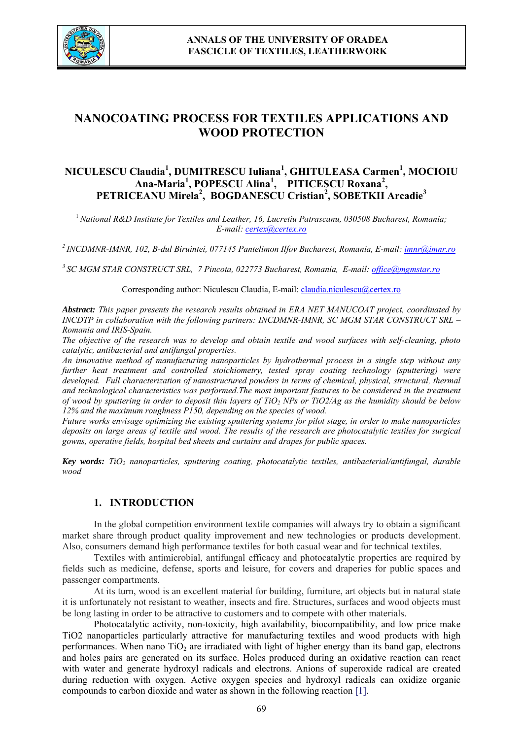

# **NANOCOATING PROCESS FOR TEXTILES APPLICATIONS AND WOOD PROTECTION**

# **NICULESCU Claudia<sup>1</sup> , DUMITRESCU Iuliana<sup>1</sup> , GHITULEASA Carmen<sup>1</sup> , MOCIOIU Ana-Maria1 , POPESCU Alina<sup>1</sup> , PITICESCU Roxana<sup>2</sup> , PETRICEANU Mirela<sup>2</sup> , BOGDANESCU Cristian<sup>2</sup> , SOBETKII Arcadie<sup>3</sup>**

<sup>1</sup>*National R&D Institute for Textiles and Leather, 16, Lucretiu Patrascanu, 030508 Bucharest, Romania; E-mail: certex@certex.ro*

*2 INCDMNR-IMNR, 102, B-dul Biruintei, 077145 Pantelimon Ilfov Bucharest, Romania, E-mail: imnr@imnr.ro*

*3 SC MGM STAR CONSTRUCT SRL, 7 Pincota, 022773 Bucharest, Romania, E-mail: office@mgmstar.ro*

Corresponding author: Niculescu Claudia, E-mail: claudia.niculescu@certex.ro

*Abstract: This paper presents the research results obtained in ERA NET MANUCOAT project, coordinated by INCDTP in collaboration with the following partners: INCDMNR-IMNR, SC MGM STAR CONSTRUCT SRL – Romania and IRIS-Spain.* 

*The objective of the research was to develop and obtain textile and wood surfaces with self-cleaning, photo catalytic, antibacterial and antifungal properties.* 

*An innovative method of manufacturing nanoparticles by hydrothermal process in a single step without any further heat treatment and controlled stoichiometry, tested spray coating technology (sputtering) were*  developed. Full characterization of nanostructured powders in terms of chemical, physical, structural, thermal *and technological characteristics was performed.The most important features to be considered in the treatment of wood by sputtering in order to deposit thin layers of TiO2 NPs or TiO2/Ag as the humidity should be below 12% and the maximum roughness P150, depending on the species of wood.* 

*Future works envisage optimizing the existing sputtering systems for pilot stage, in order to make nanoparticles deposits on large areas of textile and wood. The results of the research are photocatalytic textiles for surgical gowns, operative fields, hospital bed sheets and curtains and drapes for public spaces.* 

*Key words: TiO2 nanoparticles, sputtering coating, photocatalytic textiles, antibacterial/antifungal, durable wood*

# **1. INTRODUCTION**

In the global competition environment textile companies will always try to obtain a significant market share through product quality improvement and new technologies or products development. Also, consumers demand high performance textiles for both casual wear and for technical textiles.

Textiles with antimicrobial, antifungal efficacy and photocatalytic properties are required by fields such as medicine, defense, sports and leisure, for covers and draperies for public spaces and passenger compartments.

At its turn, wood is an excellent material for building, furniture, art objects but in natural state it is unfortunately not resistant to weather, insects and fire. Structures, surfaces and wood objects must be long lasting in order to be attractive to customers and to compete with other materials.

Photocatalytic activity, non-toxicity, high availability, biocompatibility, and low price make TiO2 nanoparticles particularly attractive for manufacturing textiles and wood products with high performances. When nano  $TiO<sub>2</sub>$  are irradiated with light of higher energy than its band gap, electrons and holes pairs are generated on its surface. Holes produced during an oxidative reaction can react with water and generate hydroxyl radicals and electrons. Anions of superoxide radical are created during reduction with oxygen. Active oxygen species and hydroxyl radicals can oxidize organic compounds to carbon dioxide and water as shown in the following reaction [1].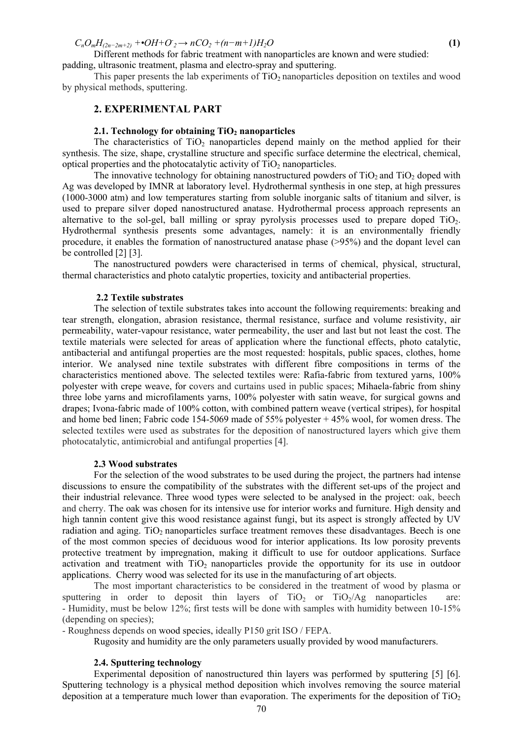$C_nO_mH_{(2n-2m+2)}$  +• $OH+O_2 \rightarrow nCO_2$  + $(n-m+1)H_2O$  (1)

Different methods for fabric treatment with nanoparticles are known and were studied: padding, ultrasonic treatment, plasma and electro-spray and sputtering.

This paper presents the lab experiments of  $TiO<sub>2</sub>$  nanoparticles deposition on textiles and wood by physical methods, sputtering.

### **2. EXPERIMENTAL PART**

#### **2.1. Technology for obtaining TiO<sub>2</sub> nanoparticles**

The characteristics of  $TiO<sub>2</sub>$  nanoparticles depend mainly on the method applied for their synthesis. The size, shape, crystalline structure and specific surface determine the electrical, chemical, optical properties and the photocatalytic activity of  $TiO<sub>2</sub>$  nanoparticles.

The innovative technology for obtaining nanostructured powders of  $TiO<sub>2</sub>$  and  $TiO<sub>2</sub>$  doped with Ag was developed by IMNR at laboratory level. Hydrothermal synthesis in one step, at high pressures (1000-3000 atm) and low temperatures starting from soluble inorganic salts of titanium and silver, is used to prepare silver doped nanostructured anatase. Hydrothermal process approach represents an alternative to the sol-gel, ball milling or spray pyrolysis processes used to prepare doped  $TiO<sub>2</sub>$ . Hydrothermal synthesis presents some advantages, namely: it is an environmentally friendly procedure, it enables the formation of nanostructured anatase phase (>95%) and the dopant level can be controlled [2] [3].

 The nanostructured powders were characterised in terms of chemical, physical, structural, thermal characteristics and photo catalytic properties, toxicity and antibacterial properties.

#### **2.2 Textile substrates**

The selection of textile substrates takes into account the following requirements: breaking and tear strength, elongation, abrasion resistance, thermal resistance, surface and volume resistivity, air permeability, water-vapour resistance, water permeability, the user and last but not least the cost. The textile materials were selected for areas of application where the functional effects, photo catalytic, antibacterial and antifungal properties are the most requested: hospitals, public spaces, clothes, home interior. We analysed nine textile substrates with different fibre compositions in terms of the characteristics mentioned above. The selected textiles were: Rafia-fabric from textured yarns, 100% polyester with crepe weave, for covers and curtains used in public spaces; Mihaela-fabric from shiny three lobe yarns and microfilaments yarns, 100% polyester with satin weave, for surgical gowns and drapes; Ivona-fabric made of 100% cotton, with combined pattern weave (vertical stripes), for hospital and home bed linen; Fabric code 154-5069 made of 55% polyester + 45% wool, for women dress. The selected textiles were used as substrates for the deposition of nanostructured layers which give them photocatalytic, antimicrobial and antifungal properties [4].

#### **2.3 Wood substrates**

For the selection of the wood substrates to be used during the project, the partners had intense discussions to ensure the compatibility of the substrates with the different set-ups of the project and their industrial relevance. Three wood types were selected to be analysed in the project: oak, beech and cherry. The oak was chosen for its intensive use for interior works and furniture. High density and high tannin content give this wood resistance against fungi, but its aspect is strongly affected by UV radiation and aging.  $TiO<sub>2</sub>$  nanoparticles surface treatment removes these disadvantages. Beech is one of the most common species of deciduous wood for interior applications. Its low porosity prevents protective treatment by impregnation, making it difficult to use for outdoor applications. Surface activation and treatment with  $TiO<sub>2</sub>$  nanoparticles provide the opportunity for its use in outdoor applications. Cherry wood was selected for its use in the manufacturing of art objects.

 The most important characteristics to be considered in the treatment of wood by plasma or sputtering in order to deposit thin layers of  $TiO<sub>2</sub>$  or  $TiO<sub>2</sub>/Ag$  nanoparticles are: - Humidity, must be below 12%; first tests will be done with samples with humidity between 10-15% (depending on species);

- Roughness depends on wood species, ideally P150 grit ISO / FEPA.

Rugosity and humidity are the only parameters usually provided by wood manufacturers.

#### **2.4. Sputtering technology**

Experimental deposition of nanostructured thin layers was performed by sputtering [5] [6]. Sputtering technology is a physical method deposition which involves removing the source material deposition at a temperature much lower than evaporation. The experiments for the deposition of  $TiO<sub>2</sub>$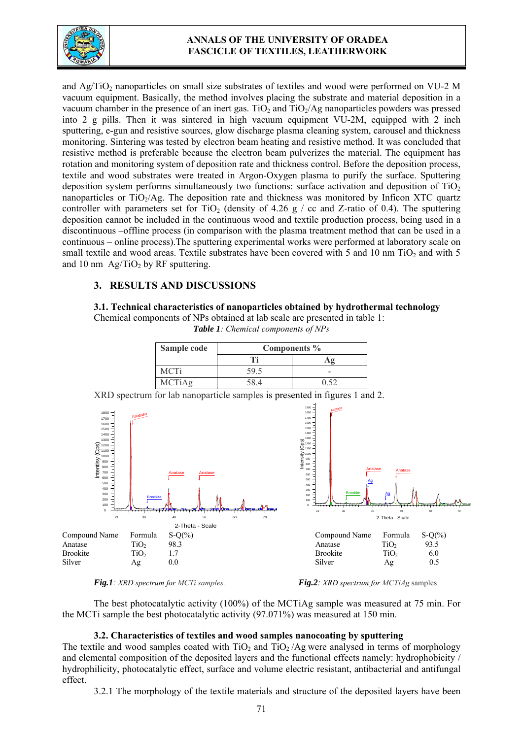

# **ANNALS OF THE UNIVERSITY OF ORADEA FASCICLE OF TEXTILES, LEATHERWORK**

and  $Ag/TiO<sub>2</sub>$  nanoparticles on small size substrates of textiles and wood were performed on VU-2 M vacuum equipment. Basically, the method involves placing the substrate and material deposition in a vacuum chamber in the presence of an inert gas. TiO<sub>2</sub> and TiO<sub>2</sub>/Ag nanoparticles powders was pressed into 2 g pills. Then it was sintered in high vacuum equipment VU-2M, equipped with 2 inch sputtering, e-gun and resistive sources, glow discharge plasma cleaning system, carousel and thickness monitoring. Sintering was tested by electron beam heating and resistive method. It was concluded that resistive method is preferable because the electron beam pulverizes the material. The equipment has rotation and monitoring system of deposition rate and thickness control. Before the deposition process, textile and wood substrates were treated in Argon-Oxygen plasma to purify the surface. Sputtering deposition system performs simultaneously two functions: surface activation and deposition of  $TiO<sub>2</sub>$ nanoparticles or  $TiO<sub>2</sub>/Ag$ . The deposition rate and thickness was monitored by Inficon XTC quartz controller with parameters set for TiO<sub>2</sub> (density of 4.26 g / cc and Z-ratio of 0.4). The sputtering deposition cannot be included in the continuous wood and textile production process, being used in a discontinuous –offline process (in comparison with the plasma treatment method that can be used in a continuous – online process).The sputtering experimental works were performed at laboratory scale on small textile and wood areas. Textile substrates have been covered with 5 and 10 nm  $TiO<sub>2</sub>$  and with 5 and 10 nm  $Ag/TiO<sub>2</sub>$  by RF sputtering.

# **3. RESULTS AND DISCUSSIONS**

# **3.1. Technical characteristics of nanoparticles obtained by hydrothermal technology**

Chemical components of NPs obtained at lab scale are presented in table 1: *Table 1: Chemical components of NPs* 

| Sample code   | Components % |  |  |  |  |  |
|---------------|--------------|--|--|--|--|--|
|               |              |  |  |  |  |  |
| MCTi          |              |  |  |  |  |  |
| <b>MCTiAg</b> |              |  |  |  |  |  |



XRD spectrum for lab nanoparticle samples is presented in figures 1 and 2.

*Fig.1: XRD spectrum for MCTi samples. Fig.2: XRD spectrum for MCTiAg* samples

The best photocatalytic activity (100%) of the MCTiAg sample was measured at 75 min. For the MCTi sample the best photocatalytic activity (97.071%) was measured at 150 min.

# **3.2. Characteristics of textiles and wood samples nanocoating by sputtering**

The textile and wood samples coated with  $TiO<sub>2</sub>$  and  $TiO<sub>2</sub>/Ag$  were analysed in terms of morphology and elemental composition of the deposited layers and the functional effects namely: hydrophobicity / hydrophilicity, photocatalytic effect, surface and volume electric resistant, antibacterial and antifungal effect.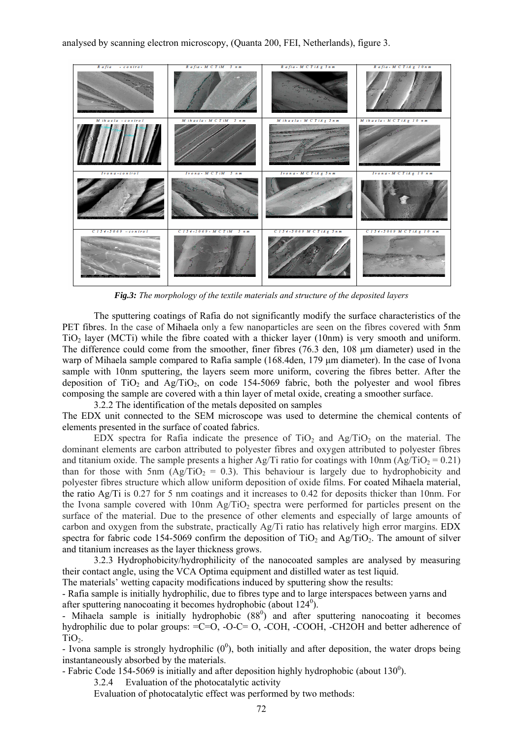analysed by scanning electron microscopy, (Quanta 200, FEI, Netherlands), figure 3.



*Fig.3: The morphology of the textile materials and structure of the deposited layers* 

 The sputtering coatings of Rafia do not significantly modify the surface characteristics of the PET fibres. In the case of Mihaela only a few nanoparticles are seen on the fibres covered with 5nm  $TiO<sub>2</sub>$  layer (MCTi) while the fibre coated with a thicker layer (10nm) is very smooth and uniform. The difference could come from the smoother, finer fibres (76.3 den, 108 μm diameter) used in the warp of Mihaela sample compared to Rafia sample (168.4den, 179 μm diameter). In the case of Ivona sample with 10nm sputtering, the layers seem more uniform, covering the fibres better. After the deposition of TiO<sub>2</sub> and Ag/TiO<sub>2</sub>, on code 154-5069 fabric, both the polyester and wool fibres composing the sample are covered with a thin layer of metal oxide, creating a smoother surface.

3.2.2 The identification of the metals deposited on samples

The EDX unit connected to the SEM microscope was used to determine the chemical contents of elements presented in the surface of coated fabrics.

EDX spectra for Rafia indicate the presence of  $TiO<sub>2</sub>$  and  $Ag/TiO<sub>2</sub>$  on the material. The dominant elements are carbon attributed to polyester fibres and oxygen attributed to polyester fibres and titanium oxide. The sample presents a higher Ag/Ti ratio for coatings with 10nm (Ag/TiO<sub>2</sub> = 0.21) than for those with 5nm  $(Ag/TiO<sub>2</sub> = 0.3)$ . This behaviour is largely due to hydrophobicity and polyester fibres structure which allow uniform deposition of oxide films. For coated Mihaela material, the ratio Ag/Ti is 0.27 for 5 nm coatings and it increases to 0.42 for deposits thicker than 10nm. For the Ivona sample covered with  $10<sub>nm</sub> A<sub>g</sub>/TiO<sub>2</sub>$  spectra were performed for particles present on the surface of the material. Due to the presence of other elements and especially of large amounts of carbon and oxygen from the substrate, practically Ag/Ti ratio has relatively high error margins. EDX spectra for fabric code 154-5069 confirm the deposition of  $TiO<sub>2</sub>$  and Ag/TiO<sub>2</sub>. The amount of silver and titanium increases as the layer thickness grows.

3.2.3 Hydrophobicity/hydrophilicity of the nanocoated samples are analysed by measuring their contact angle, using the VCA Optima equipment and distilled water as test liquid.

The materials' wetting capacity modifications induced by sputtering show the results:

- Rafia sample is initially hydrophilic, due to fibres type and to large interspaces between yarns and after sputtering nanocoating it becomes hydrophobic (about  $124^\circ$ ).

- Mihaela sample is initially hydrophobic  $(88<sup>0</sup>)$  and after sputtering nanocoating it becomes hydrophilic due to polar groups:  $=C=O$ ,  $-O-C=O$ ,  $-COH$ ,  $-COOH$ ,  $-CHOH$  and better adherence of TiO<sub>2</sub>.

- Ivona sample is strongly hydrophilic  $(0^0)$ , both initially and after deposition, the water drops being instantaneously absorbed by the materials.

- Fabric Code 154-5069 is initially and after deposition highly hydrophobic (about  $130^{\circ}$ ).

3.2.4 Evaluation of the photocatalytic activity

Evaluation of photocatalytic effect was performed by two methods: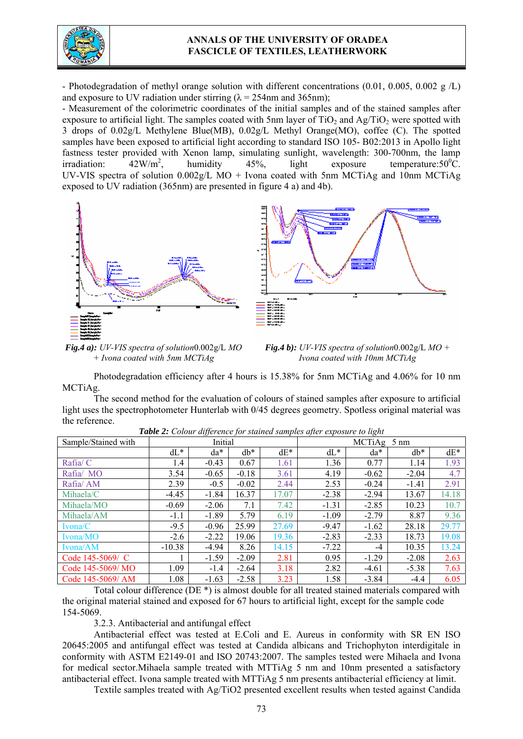

### **ANNALS OF THE UNIVERSITY OF ORADEA FASCICLE OF TEXTILES, LEATHERWORK**

- Photodegradation of methyl orange solution with different concentrations (0.01, 0.005, 0.002 g  $/L$ ) and exposure to UV radiation under stirring ( $\lambda = 254$ nm and 365nm);

- Measurement of the colorimetric coordinates of the initial samples and of the stained samples after exposure to artificial light. The samples coated with 5nm layer of  $TiO<sub>2</sub>$  and Ag/TiO<sub>2</sub> were spotted with 3 drops of 0.02g/L Methylene Blue(MB), 0.02g/L Methyl Orange(MO), coffee (C). The spotted samples have been exposed to artificial light according to standard ISO 105- B02:2013 in Apollo light fastness tester provided with Xenon lamp, simulating sunlight, wavelength: 300-700nm, the lamp irradiation:  $42W/m^2$ . , humidity  $45\%$ , light exposure temperature:  $50\degree \text{C}$ . UV-VIS spectra of solution  $0.002g/L$  MO + Ivona coated with 5nm MCTiAg and 10nm MCTiAg exposed to UV radiation (365nm) are presented in figure 4 a) and 4b).





*Fig.4 a): UV-VIS spectra of solution*0.002g/L *MO + Ivona coated with 5nm MCTiAg*



Photodegradation efficiency after 4 hours is 15.38% for 5nm MCTiAg and 4.06% for 10 nm MCTiAg.

The second method for the evaluation of colours of stained samples after exposure to artificial light uses the spectrophotometer Hunterlab with 0/45 degrees geometry. Spotless original material was the reference.

| Sample/Stained with | Initial  |         |         |        | MCTiAg 5 nm |         |         |        |
|---------------------|----------|---------|---------|--------|-------------|---------|---------|--------|
|                     | $dL^*$   | $da^*$  | $db^*$  | $dE^*$ | $dL^*$      | $da^*$  | $db*$   | $dE^*$ |
| Rafia/C             | 1.4      | $-0.43$ | 0.67    | 1.61   | 1.36        | 0.77    | 1.14    | 1.93   |
| Rafia/MO            | 3.54     | $-0.65$ | $-0.18$ | 3.61   | 4.19        | $-0.62$ | $-2.04$ | 4.7    |
| Rafia/AM            | 2.39     | $-0.5$  | $-0.02$ | 2.44   | 2.53        | $-0.24$ | $-1.41$ | 2.91   |
| Mihaela/C           | $-4.45$  | $-1.84$ | 16.37   | 17.07  | $-2.38$     | $-2.94$ | 13.67   | 14.18  |
| Mihaela/MO          | $-0.69$  | $-2.06$ | 7.1     | 7.42   | $-1.31$     | $-2.85$ | 10.23   | 10.7   |
| Mihaela/AM          | $-1.1$   | $-1.89$ | 5.79    | 6.19   | $-1.09$     | $-2.79$ | 8.87    | 9.36   |
| $I$ vona/C          | $-9.5$   | $-0.96$ | 25.99   | 27.69  | $-9.47$     | $-1.62$ | 28.18   | 29.77  |
| Ivona/MO            | $-2.6$   | $-2.22$ | 19.06   | 19.36  | $-2.83$     | $-2.33$ | 18.73   | 19.08  |
| Ivona/AM            | $-10.38$ | $-4.94$ | 8.26    | 14.15  | $-7.22$     | $-4$    | 10.35   | 13.24  |
| Code 145-5069/ C    |          | $-1.59$ | $-2.09$ | 2.81   | 0.95        | $-1.29$ | $-2.08$ | 2.63   |
| Code 145-5069/MO    | 1.09     | $-1.4$  | $-2.64$ | 3.18   | 2.82        | $-4.61$ | $-5.38$ | 7.63   |
| Code 145-5069/ AM   | 1.08     | $-1.63$ | $-2.58$ | 3.23   | 1.58        | $-3.84$ | $-4.4$  | 6.05   |

*Table 2: Colour difference for stained samples after exposure to light* 

Total colour difference (DE \*) is almost double for all treated stained materials compared with the original material stained and exposed for 67 hours to artificial light, except for the sample code 154-5069.

3.2.3. Antibacterial and antifungal effect

 Antibacterial effect was tested at E.Coli and E. Aureus in conformity with SR EN ISO 20645:2005 and antifungal effect was tested at Candida albicans and Trichophyton interdigitale in conformity with ASTM E2149-01 and ISO 20743:2007. The samples tested were Mihaela and Ivona for medical sector.Mihaela sample treated with MTTiAg 5 nm and 10nm presented a satisfactory antibacterial effect. Ivona sample treated with MTTiAg 5 nm presents antibacterial efficiency at limit.

Textile samples treated with  $Ag/TiO2$  presented excellent results when tested against Candida